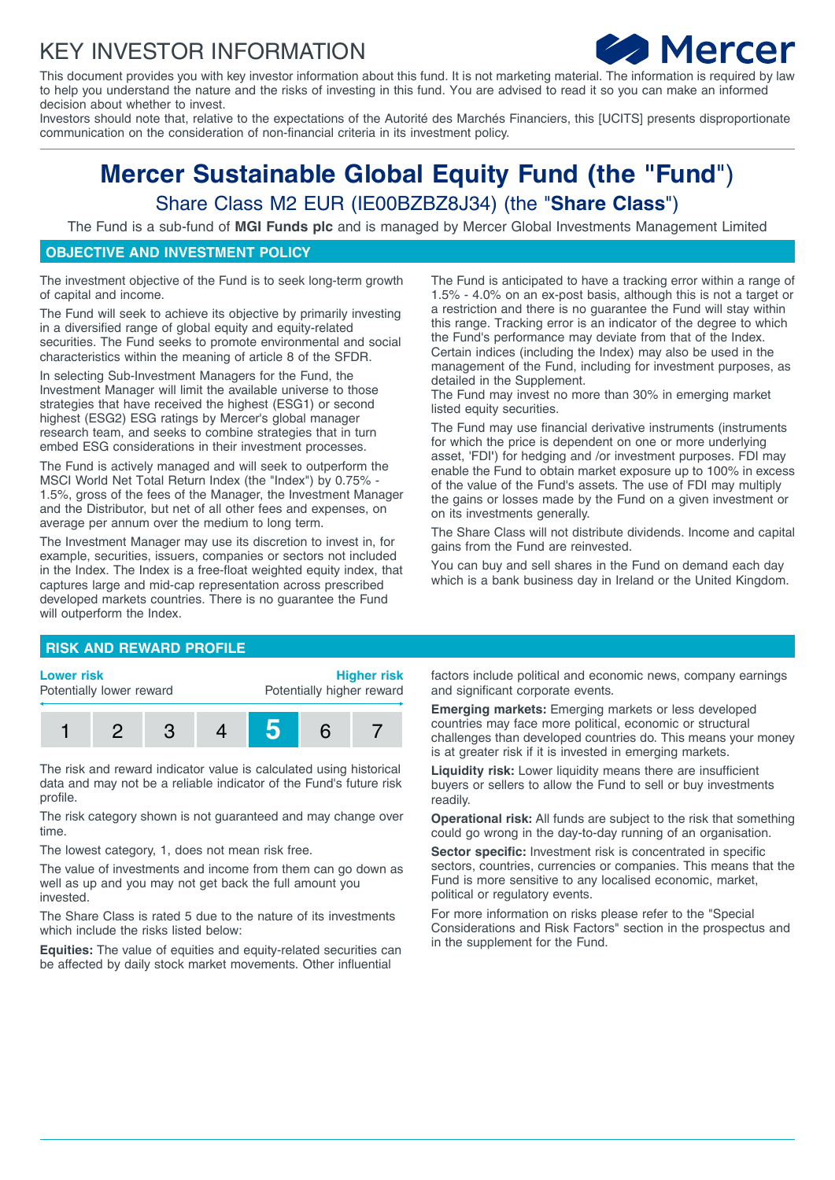## KEY INVESTOR INFORMATION



This document provides you with key investor information about this fund. It is not marketing material. The information is required by law to help you understand the nature and the risks of investing in this fund. You are advised to read it so you can make an informed decision about whether to invest.

Investors should note that, relative to the expectations of the Autorité des Marchés Financiers, this [UCITS] presents disproportionate communication on the consideration of non-financial criteria in its investment policy.

# **Mercer Sustainable Global Equity Fund (the "Fund**") Share Class M2 EUR (IE00BZBZ8J34) (the "**Share Class**")

The Fund is a sub-fund of **MGI Funds plc** and is managed by Mercer Global Investments Management Limited

## **OBJECTIVE AND INVESTMENT POLICY**

The investment objective of the Fund is to seek long-term growth of capital and income.

The Fund will seek to achieve its objective by primarily investing in a diversified range of global equity and equity-related securities. The Fund seeks to promote environmental and social characteristics within the meaning of article 8 of the SFDR.

In selecting Sub-Investment Managers for the Fund, the Investment Manager will limit the available universe to those strategies that have received the highest (ESG1) or second highest (ESG2) ESG ratings by Mercer's global manager research team, and seeks to combine strategies that in turn embed ESG considerations in their investment processes.

The Fund is actively managed and will seek to outperform the MSCI World Net Total Return Index (the "Index") by 0.75% - 1.5%, gross of the fees of the Manager, the Investment Manager and the Distributor, but net of all other fees and expenses, on average per annum over the medium to long term.

The Investment Manager may use its discretion to invest in, for example, securities, issuers, companies or sectors not included in the Index. The Index is a free-float weighted equity index, that captures large and mid-cap representation across prescribed developed markets countries. There is no guarantee the Fund will outperform the Index.

The Fund is anticipated to have a tracking error within a range of 1.5% - 4.0% on an ex-post basis, although this is not a target or a restriction and there is no guarantee the Fund will stay within this range. Tracking error is an indicator of the degree to which the Fund's performance may deviate from that of the Index. Certain indices (including the Index) may also be used in the management of the Fund, including for investment purposes, as detailed in the Supplement.

The Fund may invest no more than 30% in emerging market listed equity securities.

The Fund may use financial derivative instruments (instruments for which the price is dependent on one or more underlying asset, 'FDI**'**) for hedging and /or investment purposes. FDI may enable the Fund to obtain market exposure up to 100% in excess of the value of the Fund's assets. The use of FDI may multiply the gains or losses made by the Fund on a given investment or on its investments generally.

The Share Class will not distribute dividends. Income and capital gains from the Fund are reinvested.

You can buy and sell shares in the Fund on demand each day which is a bank business day in Ireland or the United Kingdom.

#### **RISK AND REWARD PROFILE**

#### **Lower risk**

Potentially lower reward

**Higher risk** Potentially higher reward



The risk and reward indicator value is calculated using historical data and may not be a reliable indicator of the Fund's future risk profile.

The risk category shown is not guaranteed and may change over time.

The lowest category, 1, does not mean risk free.

The value of investments and income from them can go down as well as up and you may not get back the full amount you invested.

The Share Class is rated 5 due to the nature of its investments which include the risks listed below:

**Equities:** The value of equities and equity-related securities can be affected by daily stock market movements. Other influential

factors include political and economic news, company earnings and significant corporate events.

**Emerging markets:** Emerging markets or less developed countries may face more political, economic or structural challenges than developed countries do. This means your money is at greater risk if it is invested in emerging markets.

**Liquidity risk:** Lower liquidity means there are insufficient buyers or sellers to allow the Fund to sell or buy investments readily.

**Operational risk:** All funds are subject to the risk that something could go wrong in the day-to-day running of an organisation.

**Sector specific:** Investment risk is concentrated in specific sectors, countries, currencies or companies. This means that the Fund is more sensitive to any localised economic, market, political or regulatory events.

For more information on risks please refer to the "Special Considerations and Risk Factors" section in the prospectus and in the supplement for the Fund.